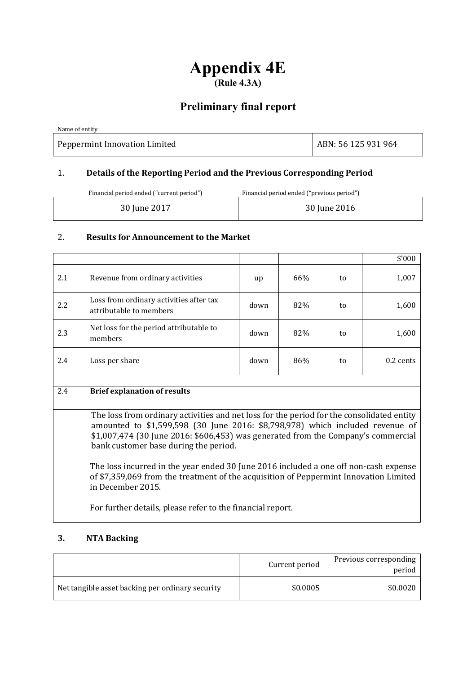# **Appendix 4E (Rule 4.3A)**

## **Preliminary final report**

Name of entity Peppermint Innovation Limited ABN: 56 125 931 964

## 1. **Details of the Reporting Period and the Previous Corresponding Period**

| Financial period ended ("current period") | Financial period ended ("previous period") |
|-------------------------------------------|--------------------------------------------|
| 30 June 2017                              | 30 June 2016                               |

## 2. **Results for Announcement to the Market**

|     |                                                                                                                                                                                                                                                                                                                                                                                                                                                                                           |      |     |    | \$'000      |  |
|-----|-------------------------------------------------------------------------------------------------------------------------------------------------------------------------------------------------------------------------------------------------------------------------------------------------------------------------------------------------------------------------------------------------------------------------------------------------------------------------------------------|------|-----|----|-------------|--|
| 2.1 | Revenue from ordinary activities                                                                                                                                                                                                                                                                                                                                                                                                                                                          | up   | 66% | to | 1,007       |  |
| 2.2 | Loss from ordinary activities after tax<br>attributable to members                                                                                                                                                                                                                                                                                                                                                                                                                        | down | 82% | to | 1,600       |  |
| 2.3 | Net loss for the period attributable to<br>members                                                                                                                                                                                                                                                                                                                                                                                                                                        | down | 82% | to | 1,600       |  |
| 2.4 | Loss per share                                                                                                                                                                                                                                                                                                                                                                                                                                                                            | down | 86% | to | $0.2$ cents |  |
|     |                                                                                                                                                                                                                                                                                                                                                                                                                                                                                           |      |     |    |             |  |
|     | <b>Brief explanation of results</b>                                                                                                                                                                                                                                                                                                                                                                                                                                                       |      |     |    |             |  |
| 2.4 |                                                                                                                                                                                                                                                                                                                                                                                                                                                                                           |      |     |    |             |  |
|     | The loss from ordinary activities and net loss for the period for the consolidated entity<br>amounted to \$1,599,598 (30 June 2016: \$8,798,978) which included revenue of<br>\$1,007,474 (30 June 2016: \$606,453) was generated from the Company's commercial<br>bank customer base during the period.<br>The loss incurred in the year ended 30 June 2016 included a one off non-cash expense<br>of \$7,359,069 from the treatment of the acquisition of Peppermint Innovation Limited |      |     |    |             |  |
|     | in December 2015.<br>For further details, please refer to the financial report.                                                                                                                                                                                                                                                                                                                                                                                                           |      |     |    |             |  |

## **3. NTA Backing**

|                                                  | Current period | Previous corresponding<br>period |
|--------------------------------------------------|----------------|----------------------------------|
| Net tangible asset backing per ordinary security | \$0.0005       | \$0.0020                         |